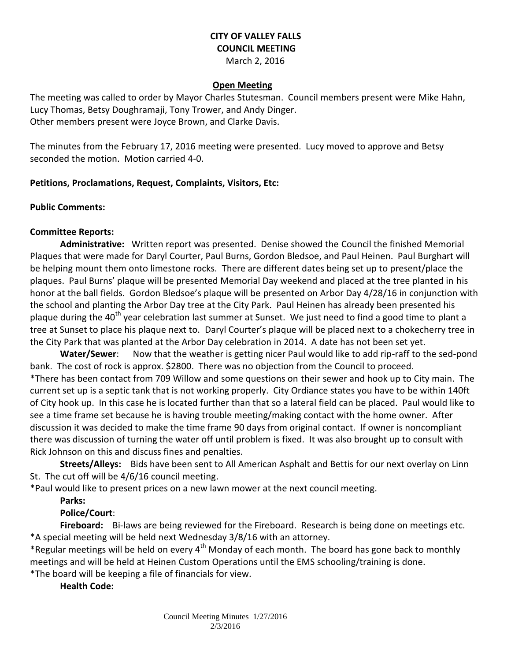# **CITY OF VALLEY FALLS COUNCIL MEETING**

March 2, 2016

#### **Open Meeting**

The meeting was called to order by Mayor Charles Stutesman. Council members present were Mike Hahn, Lucy Thomas, Betsy Doughramaji, Tony Trower, and Andy Dinger. Other members present were Joyce Brown, and Clarke Davis.

The minutes from the February 17, 2016 meeting were presented. Lucy moved to approve and Betsy seconded the motion. Motion carried 4-0.

### **Petitions, Proclamations, Request, Complaints, Visitors, Etc:**

#### **Public Comments:**

## **Committee Reports:**

**Administrative:** Written report was presented. Denise showed the Council the finished Memorial Plaques that were made for Daryl Courter, Paul Burns, Gordon Bledsoe, and Paul Heinen. Paul Burghart will be helping mount them onto limestone rocks. There are different dates being set up to present/place the plaques. Paul Burns' plaque will be presented Memorial Day weekend and placed at the tree planted in his honor at the ball fields. Gordon Bledsoe's plaque will be presented on Arbor Day 4/28/16 in conjunction with the school and planting the Arbor Day tree at the City Park. Paul Heinen has already been presented his plaque during the 40<sup>th</sup> year celebration last summer at Sunset. We just need to find a good time to plant a tree at Sunset to place his plaque next to. Daryl Courter's plaque will be placed next to a chokecherry tree in the City Park that was planted at the Arbor Day celebration in 2014. A date has not been set yet.

**Water/Sewer**: Now that the weather is getting nicer Paul would like to add rip-raff to the sed-pond bank. The cost of rock is approx. \$2800. There was no objection from the Council to proceed. \*There has been contact from 709 Willow and some questions on their sewer and hook up to City main. The current set up is a septic tank that is not working properly. City Ordiance states you have to be within 140ft of City hook up. In this case he is located further than that so a lateral field can be placed. Paul would like to see a time frame set because he is having trouble meeting/making contact with the home owner. After discussion it was decided to make the time frame 90 days from original contact. If owner is noncompliant there was discussion of turning the water off until problem is fixed. It was also brought up to consult with Rick Johnson on this and discuss fines and penalties.

**Streets/Alleys:** Bids have been sent to All American Asphalt and Bettis for our next overlay on Linn St. The cut off will be 4/6/16 council meeting.

\*Paul would like to present prices on a new lawn mower at the next council meeting.

## **Parks:**

## **Police/Court**:

**Fireboard:** Bi-laws are being reviewed for the Fireboard. Research is being done on meetings etc. \*A special meeting will be held next Wednesday 3/8/16 with an attorney.

\*Regular meetings will be held on every  $4^{th}$  Monday of each month. The board has gone back to monthly meetings and will be held at Heinen Custom Operations until the EMS schooling/training is done.

\*The board will be keeping a file of financials for view.

## **Health Code:**